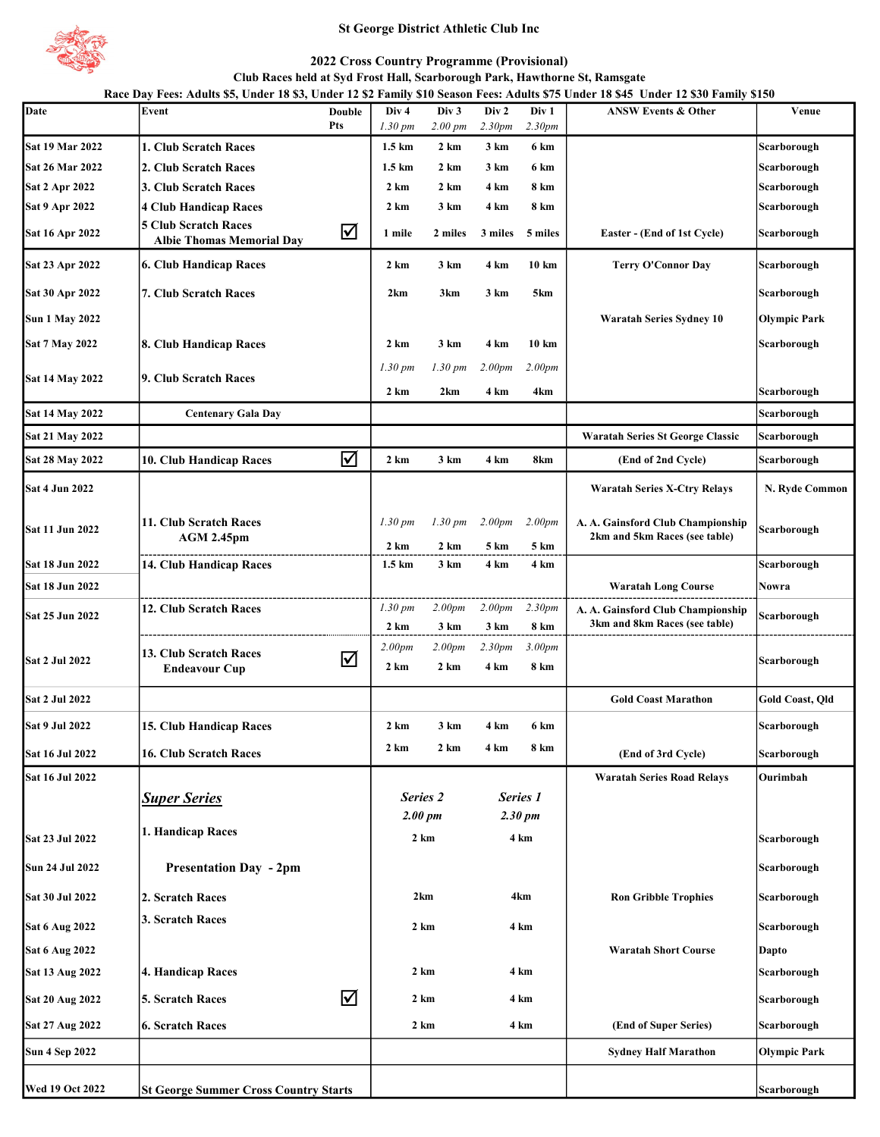

# St George District Athletic Club Inc

# 2022 Cross Country Programme (Provisional)

Club Races held at Syd Frost Hall, Scarborough Park, Hawthorne St, Ramsgate

Date Event Event Double Div 4 Div 3 Div 2 Div 1 ANSW Events & Other Venue 1.30 pm 2.00 pm 2.30pm 2.30pm Sat 19 Mar 2022 | 1. Club Scratch Races | 1.5 km 2 km 3 km 6 km | Scarborough Scarborough Sat 26 Mar 2022 2. Club Scratch Races 2. Club Scarborough 1.5 km 2 km 3 km 6 km Scarborough Scarborough Sat 2 Apr 2022 3. Club Scratch Races 2 km 2 km 4 km 8 km s 3 km Scarborough Sat 9 Apr 2022 | 4 Club Handicap Races | 2 km 3 km 4 km 8 km | Scarborough Scarborough Sat 16 Apr 2022  $\begin{bmatrix} 5 \text{ Club Scr} \\ 1 \text{U} \\ 2 \text{V} \end{bmatrix}$  Albie Thomas Memorial Day 1 mile 2 miles 3 miles 5 miles Easter - (End of 1st Cycle) Scarborough Sat 23 Apr 2022 6. Club Handicap Races 2 km 3 km 4 km 10 km Terry O'Connor Day Scarborough Sat 30 Apr 2022 7. Club Scratch Races 2km 3km 3km 3km 5km  $\vert$  2km 3km 5km Skm Scarborough Sun 1 May 2022 Waratah Series Sydney 10 Olympic Park Sat 7 May 2022 8. Club Handicap Races 2 km 3 km 4 km 10 km s Scarborough 1.30 pm 1.30 pm 2.00pm 2.00pm 2 km 2 km 4 km 4 km 3 Scarborough Sat 14 May 2022 Centenary Gala Day Scarborough Scarborough Scarborough Scarborough Scarborough Scarborough Scarborough Sat 21 May 2022 Waratah Series St George Classic Scarborough Sat 28 May 2022 10. Club Handicap Races  $\overline{\mathcal{A}}$  2 km 3 km 4 km 8km (End of 2nd Cycle) Scarborough Sat 4 Jun 2022 Waratah Series X-Ctry Relays N. Ryde Common 1.30 pm 1.30 pm 2.00pm 2.00pm 2 km 2 km 5 km 5 km Sat 18 Jun 2022 | 14. Club Handicap Races | 1.5 km 3 km 4 km 4 km | Scarborough Sat 18 Jun 2022 Waratah Long Course Nowra 1.30 pm 2.00pm 2.00pm 2.30pm 2 km 3 km 3 km 8 km 2.00pm 2.00pm 2.30pm 3.00pm 2 km 2 km 4 km 8 km Sat 2 Jul 2022 (Gold Coast Marathon Gold Coast Qld Coast Qld Coast Marathon Gold Coast, Qld Coast, Qld Coast, Qld Coast (Gold Coast Qld Coast Qld Coast Qld Coast Qld Coast Qld Coast Qld Coast Qld Coast Qld Coast Qld Coast Sat 9 Jul 2022 15. Club Handicap Races 2 km 3 km 4 km 6 km Scarborough Sat 16 Jul 2022 16. Club Scratch Races 2 km 2 km 4 km 8 km (End of 3rd Cycle) Scarborough Sat 16 Jul 2022 Waratah Series Road Relays Ourimbah **Super Series** Sat 23 Jul 2022 1. Handicap Races 2 km and the set of the set of the set of the set of the set of the Scarborough Sun 24 Jul 2022 **Presentation Day - 2pm** Scarborough Scarborough Scarborough Scarborough Scarborough Scarborough Sat 30 Jul 2022 2. Scratch Races No. 2km 30 Jul 2022 2. Scratch Races Scarborough Sat 6 Aug 2022 <sup>3.</sup> Scratch Races 3. Scratch Races 2 km 3. Scarborough 2 km 3. Scarborough 3. Scarborough 3. Scarborough 3. Scarborough 3. Scarborough 3. Scarborough 3. Scarborough 3. Scarborough 3. Scarborough 3. Scarboro Sat 6 Aug 2022 Waratah Short Course Dapto Sat 13 Aug 2022 4. Handicap Races Scarborough Sat 20 Aug 2022 5. Scratch Races  $\overline{\mathbf{S}}$  2 km 4 km  $\overline{\mathbf{S}}$  scarborough Sat 27 Aug 2022 6. Scratch Races and Scarborough and the control of Super Series) Scarborough Scarborough Scarborough Sun 4 Sep 2022 Sydney Half Marathon Olympic Park Race Day Fees: Adults \$5, Under 18 \$3, Under 12 \$2 Family \$10 Season Fees: Adults \$75 Under 18 \$45 Under 12 \$30 Family \$150 Double Pts A. A. Gainsford Club Championship 2km and 5km Races (see table) Sat 14 May 2022 9. Club Scratch Races Sat 11 Jun 2022  $11. \text{ Club Seratch Races}$  AGM 2.45pm 2.00 pm Sat 2 Jul 2022 **12.8**<br>Endeavour Cup Series 2  $\begin{bmatrix}$  Sat 25 Jun 2022  $\end{bmatrix}$  12. Club Scratch Races 13. Club Scratch Races  $4 \text{ km}$ 2 km 4 km 2 km 4 km 2 km 4 km 2 km 4 km 2km 4km A. A. Gainsford Club Championship Scarborough 3km and 8km Races (see table) Scarborough Series 1 2.30 pm Scarborough

Wed 19 Oct 2022 St George Summer Cross Country Starts Scarborough Scarborough Scarborough Scarborough